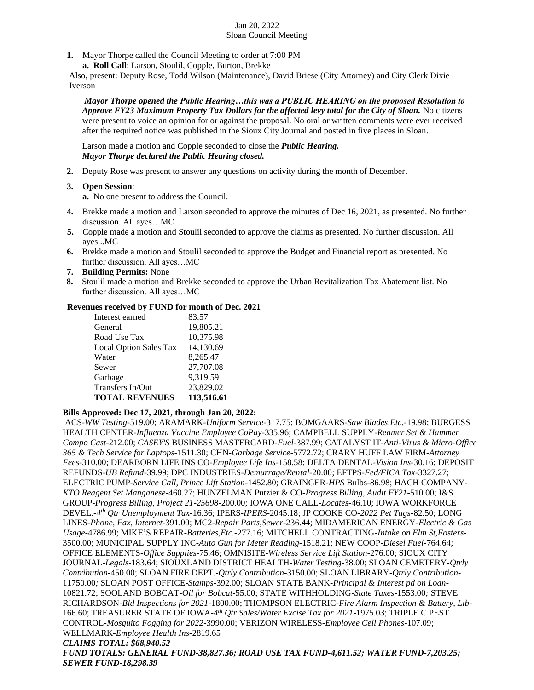### Jan 20, 2022 Sloan Council Meeting

- **1.** Mayor Thorpe called the Council Meeting to order at 7:00 PM
	- **a. Roll Call**: Larson, Stoulil, Copple, Burton, Brekke

Also, present: Deputy Rose, Todd Wilson (Maintenance), David Briese (City Attorney) and City Clerk Dixie Iverson

*Mayor Thorpe opened the Public Hearing…this was a PUBLIC HEARING on the proposed Resolution to Approve FY23 Maximum Property Tax Dollars for the affected levy total for the City of Sloan.* No citizens were present to voice an opinion for or against the proposal. No oral or written comments were ever received after the required notice was published in the Sioux City Journal and posted in five places in Sloan.

Larson made a motion and Copple seconded to close the *Public Hearing. Mayor Thorpe declared the Public Hearing closed.*

**2.** Deputy Rose was present to answer any questions on activity during the month of December.

# **3. Open Session**:

**a.** No one present to address the Council.

- **4.** Brekke made a motion and Larson seconded to approve the minutes of Dec 16, 2021, as presented. No further discussion. All ayes…MC
- **5.** Copple made a motion and Stoulil seconded to approve the claims as presented. No further discussion. All ayes...MC
- **6.** Brekke made a motion and Stoulil seconded to approve the Budget and Financial report as presented. No further discussion. All ayes…MC
- **7. Building Permits:** None
- **8.** Stoulil made a motion and Brekke seconded to approve the Urban Revitalization Tax Abatement list. No further discussion. All ayes…MC

# **Revenues received by FUND for month of Dec. 2021**

| Interest earned        | 83.57      |
|------------------------|------------|
| General                | 19,805.21  |
| Road Use Tax           | 10,375.98  |
| Local Option Sales Tax | 14,130.69  |
| Water                  | 8,265.47   |
| Sewer                  | 27,707.08  |
| Garbage                | 9,319.59   |
| Transfers In/Out       | 23,829.02  |
| <b>TOTAL REVENUES</b>  | 113,516.61 |

#### **Bills Approved: Dec 17, 2021, through Jan 20, 2022:**

ACS-*WW Testing-*519.00; ARAMARK-*Uniform Service-*317.75; BOMGAARS-*Saw Blades,Etc.-*19.98; BURGESS HEALTH CENTER-*Influenza Vaccine Employee CoPay-*335.96; CAMPBELL SUPPLY-*Reamer Set & Hammer Compo Cast-*212.00; *CASEY'S* BUSINESS MASTERCARD-*Fuel-*387.99; CATALYST IT-*Anti-Virus & Micro-Office 365 & Tech Service for Laptops-*1511.30; CHN-*Garbage Service-*5772.72; CRARY HUFF LAW FIRM-*Attorney Fees-*310.00; DEARBORN LIFE INS CO-*Employee Life Ins-*158.58; DELTA DENTAL-*Vision Ins-*30.16; DEPOSIT REFUNDS-*UB Refund-*39.99; DPC INDUSTRIES-*Demurrage/Rental-*20.00; EFTPS-*Fed/FICA Tax*-3327.27; ELECTRIC PUMP-*Service Call, Prince Lift Station-*1452.80; GRAINGER-*HPS* Bulbs-86.98; HACH COMPANY-*KTO Reagent Set Manganese-*460.27; HUNZELMAN Putzier & CO-*Progress Billing, Audit FY21-*510.00; I&S GROUP-*Progress Billing, Project 21-25698-*200.00; IOWA ONE CALL-*Locates-*46.10; IOWA WORKFORCE DEVEL.-*4 th Qtr Unemployment Tax-*16.36; IPERS-*IPERS-*2045.18; JP COOKE CO-*2022 Pet Tags-*82.50; LONG LINES-*Phone, Fax, Internet*-391.00; MC2-*Repair Parts,Sewer-*236.44; MIDAMERICAN ENERGY-*Electric & Gas Usage*-4786.99; MIKE'S REPAIR-*Batteries,Etc.-*277.16; MITCHELL CONTRACTING-*Intake on Elm St,Fosters-*3500.00; MUNICIPAL SUPPLY INC-*Auto Gun for Meter Reading-*1518.21; NEW COOP-*Diesel Fuel-*764.64; OFFICE ELEMENTS-*Office Supplies-*75.46; OMNISITE-*Wireless Service Lift Station-*276.00; SIOUX CITY JOURNAL-*Legals-*183.64; SIOUXLAND DISTRICT HEALTH-*Water Testing*-38.00; SLOAN CEMETERY-*Qtrly Contribution-*450.00; SLOAN FIRE DEPT.-*Qtrly Contribution-*3150.00; SLOAN LIBRARY-*Qtrly Contribution-*11750.00*;* SLOAN POST OFFICE-*Stamps-*392.00; SLOAN STATE BANK-*Principal & Interest pd on Loan-*10821.72; SOOLAND BOBCAT-*Oil for Bobcat-*55.00; STATE WITHHOLDING-*State Taxes-*1553.00*;* STEVE RICHARDSON-*Bld Inspections for 2021-*1800.00; THOMPSON ELECTRIC-*Fire Alarm Inspection & Battery, Lib-*166.60; TREASURER STATE OF IOWA-*4 th Qtr Sales/Water Excise Tax for 2021-*1975.03; TRIPLE C PEST CONTROL-*Mosquito Fogging for 2022-*3990.00; VERIZON WIRELESS-*Employee Cell Phones-*107.09; WELLMARK-*Employee Health Ins-*2819.65 *CLAIMS TOTAL: \$68,940.52 FUND TOTALS: GENERAL FUND-38,827.36; ROAD USE TAX FUND-4,611.52; WATER FUND-7,203.25; SEWER FUND-18,298.39*